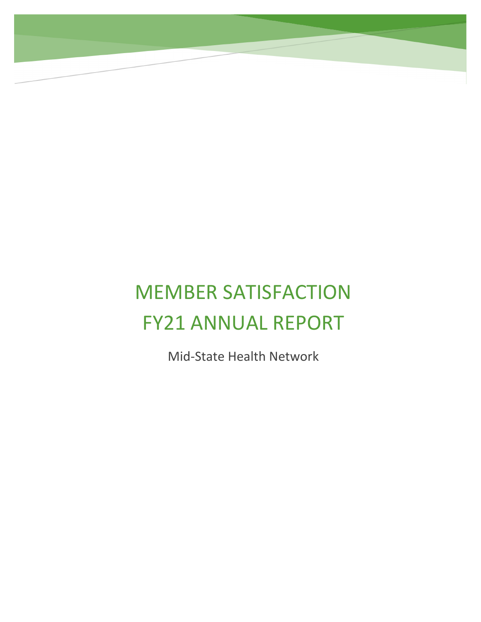# MEMBER SATISFACTION FY21 ANNUAL REPORT

Mid-State Health Network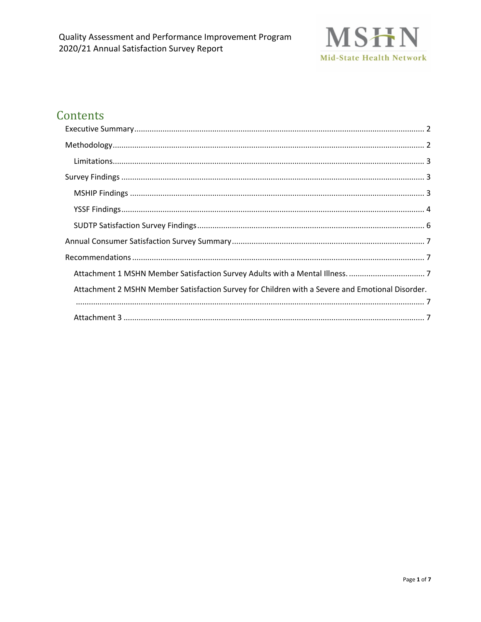

## Contents

| Attachment 2 MSHN Member Satisfaction Survey for Children with a Severe and Emotional Disorder. |  |
|-------------------------------------------------------------------------------------------------|--|
|                                                                                                 |  |
|                                                                                                 |  |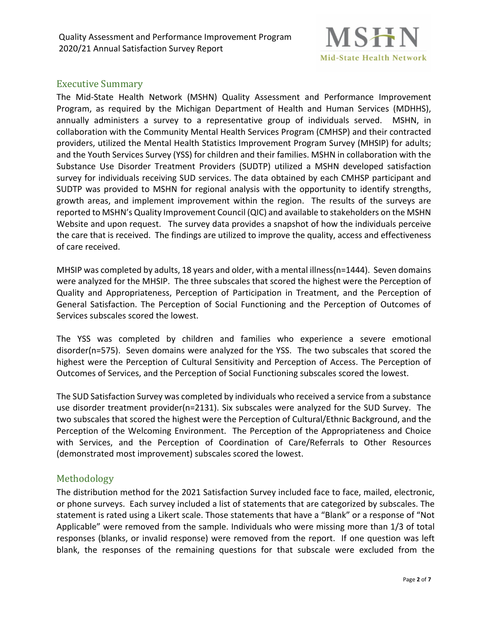Quality Assessment and Performance Improvement Program 2020/21 Annual Satisfaction Survey Report



#### <span id="page-2-0"></span>Executive Summary

The Mid-State Health Network (MSHN) Quality Assessment and Performance Improvement Program, as required by the Michigan Department of Health and Human Services (MDHHS), annually administers a survey to a representative group of individuals served. MSHN, in collaboration with the Community Mental Health Services Program (CMHSP) and their contracted providers, utilized the Mental Health Statistics Improvement Program Survey (MHSIP) for adults; and the Youth Services Survey (YSS) for children and their families. MSHN in collaboration with the Substance Use Disorder Treatment Providers (SUDTP) utilized a MSHN developed satisfaction survey for individuals receiving SUD services. The data obtained by each CMHSP participant and SUDTP was provided to MSHN for regional analysis with the opportunity to identify strengths, growth areas, and implement improvement within the region. The results of the surveys are reported to MSHN's Quality Improvement Council (QIC) and available to stakeholders on the MSHN Website and upon request. The survey data provides a snapshot of how the individuals perceive the care that is received. The findings are utilized to improve the quality, access and effectiveness of care received.

MHSIP was completed by adults, 18 years and older, with a mental illness(n=1444). Seven domains were analyzed for the MHSIP. The three subscales that scored the highest were the Perception of Quality and Appropriateness, Perception of Participation in Treatment, and the Perception of General Satisfaction. The Perception of Social Functioning and the Perception of Outcomes of Services subscales scored the lowest.

The YSS was completed by children and families who experience a severe emotional disorder(n=575). Seven domains were analyzed for the YSS. The two subscales that scored the highest were the Perception of Cultural Sensitivity and Perception of Access. The Perception of Outcomes of Services, and the Perception of Social Functioning subscales scored the lowest.

The SUD Satisfaction Survey was completed by individuals who received a service from a substance use disorder treatment provider(n=2131). Six subscales were analyzed for the SUD Survey. The two subscales that scored the highest were the Perception of Cultural/Ethnic Background, and the Perception of the Welcoming Environment. The Perception of the Appropriateness and Choice with Services, and the Perception of Coordination of Care/Referrals to Other Resources (demonstrated most improvement) subscales scored the lowest.

#### <span id="page-2-1"></span>Methodology

The distribution method for the 2021 Satisfaction Survey included face to face, mailed, electronic, or phone surveys. Each survey included a list of statements that are categorized by subscales. The statement is rated using a Likert scale. Those statements that have a "Blank" or a response of "Not Applicable" were removed from the sample. Individuals who were missing more than 1/3 of total responses (blanks, or invalid response) were removed from the report. If one question was left blank, the responses of the remaining questions for that subscale were excluded from the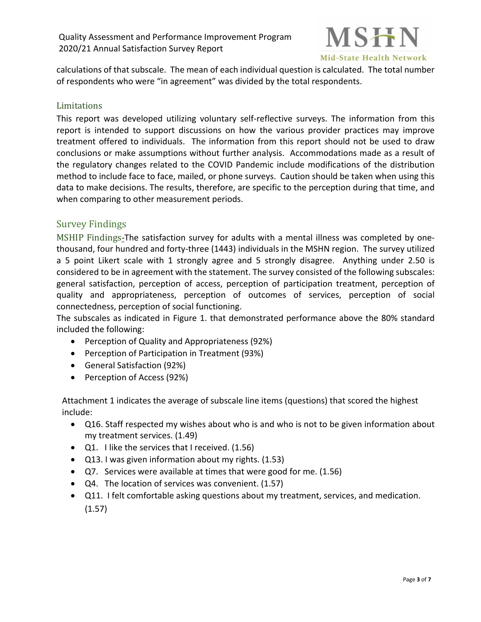

calculations of that subscale. The mean of each individual question is calculated. The total number of respondents who were "in agreement" was divided by the total respondents.

#### <span id="page-3-0"></span>Limitations

This report was developed utilizing voluntary self-reflective surveys. The information from this report is intended to support discussions on how the various provider practices may improve treatment offered to individuals. The information from this report should not be used to draw conclusions or make assumptions without further analysis. Accommodations made as a result of the regulatory changes related to the COVID Pandemic include modifications of the distribution method to include face to face, mailed, or phone surveys. Caution should be taken when using this data to make decisions. The results, therefore, are specific to the perception during that time, and when comparing to other measurement periods.

#### <span id="page-3-1"></span>Survey Findings

<span id="page-3-2"></span>MSHIP Findings-The satisfaction survey for adults with a mental illness was completed by onethousand, four hundred and forty-three (1443) individuals in the MSHN region. The survey utilized a 5 point Likert scale with 1 strongly agree and 5 strongly disagree. Anything under 2.50 is considered to be in agreement with the statement. The survey consisted of the following subscales: general satisfaction, perception of access, perception of participation treatment, perception of quality and appropriateness, perception of outcomes of services, perception of social connectedness, perception of social functioning.

The subscales as indicated in Figure 1. that demonstrated performance above the 80% standard included the following:

- Perception of Quality and Appropriateness (92%)
- Perception of Participation in Treatment (93%)
- General Satisfaction (92%)
- Perception of Access (92%)

Attachment 1 indicates the average of subscale line items (questions) that scored the highest include:

- Q16. Staff respected my wishes about who is and who is not to be given information about my treatment services. (1.49)
- Q1. I like the services that I received. (1.56)
- Q13. I was given information about my rights. (1.53)
- Q7. Services were available at times that were good for me. (1.56)
- Q4. The location of services was convenient. (1.57)
- Q11. I felt comfortable asking questions about my treatment, services, and medication. (1.57)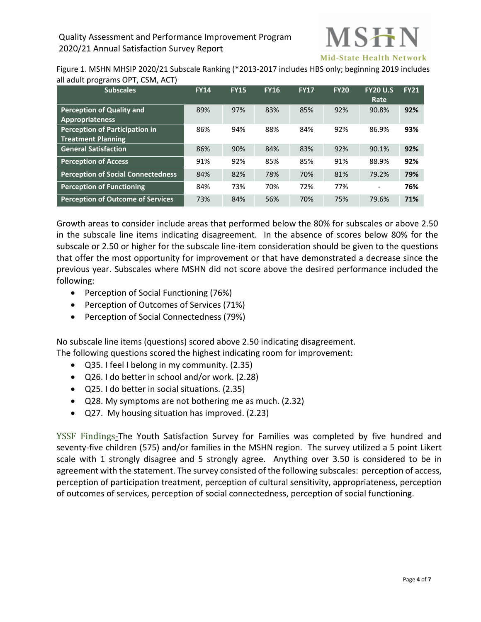

Figure 1. MSHN MHSIP 2020/21 Subscale Ranking (\*2013-2017 includes HBS only; beginning 2019 includes all adult programs OPT, CSM, ACT)

| <b>Subscales</b>                          | <b>FY14</b> | <b>FY15</b> | <b>FY16</b> | <b>FY17</b> | <b>FY20</b> | <b>FY20 U.S</b><br>Rate      | <b>FY21</b> |
|-------------------------------------------|-------------|-------------|-------------|-------------|-------------|------------------------------|-------------|
| <b>Perception of Quality and</b>          | 89%         | 97%         | 83%         | 85%         | 92%         | 90.8%                        | 92%         |
| <b>Appropriateness</b>                    |             |             |             |             |             |                              |             |
| Perception of Participation in            | 86%         | 94%         | 88%         | 84%         | 92%         | 86.9%                        | 93%         |
| <b>Treatment Planning</b>                 |             |             |             |             |             |                              |             |
| <b>General Satisfaction</b>               | 86%         | 90%         | 84%         | 83%         | 92%         | 90.1%                        | 92%         |
| <b>Perception of Access</b>               | 91%         | 92%         | 85%         | 85%         | 91%         | 88.9%                        | 92%         |
| <b>Perception of Social Connectedness</b> | 84%         | 82%         | 78%         | 70%         | 81%         | 79.2%                        | 79%         |
| <b>Perception of Functioning</b>          | 84%         | 73%         | 70%         | 72%         | 77%         | $\qquad \qquad \blacksquare$ | 76%         |
| <b>Perception of Outcome of Services</b>  | 73%         | 84%         | 56%         | 70%         | 75%         | 79.6%                        | 71%         |

Growth areas to consider include areas that performed below the 80% for subscales or above 2.50 in the subscale line items indicating disagreement. In the absence of scores below 80% for the subscale or 2.50 or higher for the subscale line-item consideration should be given to the questions that offer the most opportunity for improvement or that have demonstrated a decrease since the previous year. Subscales where MSHN did not score above the desired performance included the following:

- Perception of Social Functioning (76%)
- Perception of Outcomes of Services (71%)
- Perception of Social Connectedness (79%)

No subscale line items (questions) scored above 2.50 indicating disagreement. The following questions scored the highest indicating room for improvement:

- Q35. I feel I belong in my community. (2.35)
- Q26. I do better in school and/or work. (2.28)
- Q25. I do better in social situations. (2.35)
- Q28. My symptoms are not bothering me as much. (2.32)
- Q27. My housing situation has improved. (2.23)

<span id="page-4-0"></span>YSSF Findings-The Youth Satisfaction Survey for Families was completed by five hundred and seventy-five children (575) and/or families in the MSHN region. The survey utilized a 5 point Likert scale with 1 strongly disagree and 5 strongly agree. Anything over 3.50 is considered to be in agreement with the statement. The survey consisted of the following subscales: perception of access, perception of participation treatment, perception of cultural sensitivity, appropriateness, perception of outcomes of services, perception of social connectedness, perception of social functioning.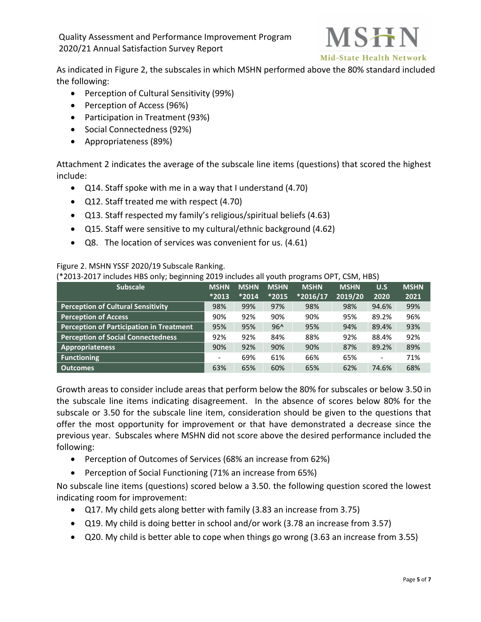Quality Assessment and Performance Improvement Program 2020/21 Annual Satisfaction Survey Report



As indicated in Figure 2, the subscales in which MSHN performed above the 80% standard included the following:

- Perception of Cultural Sensitivity (99%)
- Perception of Access (96%)
- Participation in Treatment (93%)
- Social Connectedness (92%)
- Appropriateness (89%)

Attachment 2 indicates the average of the subscale line items (questions) that scored the highest include:

- Q14. Staff spoke with me in a way that I understand (4.70)
- Q12. Staff treated me with respect (4.70)
- Q13. Staff respected my family's religious/spiritual beliefs (4.63)
- Q15. Staff were sensitive to my cultural/ethnic background (4.62)
- Q8. The location of services was convenient for us. (4.61)

Figure 2. MSHN YSSF 2020/19 Subscale Ranking.

(\*2013-2017 includes HBS only; beginning 2019 includes all youth programs OPT, CSM, HBS)

| <b>Subscale</b>                                 | <b>MSHN</b>              | <b>MSHN</b> | <b>MSHN</b> | <b>MSHN</b> | <b>MSHN</b> | U.S                      | <b>MSHN</b> |
|-------------------------------------------------|--------------------------|-------------|-------------|-------------|-------------|--------------------------|-------------|
|                                                 | $*2013$                  | $*2014$     | $*2015$     | $*2016/17$  | 2019/20     | 2020                     | 2021        |
| <b>Perception of Cultural Sensitivity</b>       | 98%                      | 99%         | 97%         | 98%         | 98%         | 94.6%                    | 99%         |
| <b>Perception of Access</b>                     | 90%                      | 92%         | 90%         | 90%         | 95%         | 89.2%                    | 96%         |
| <b>Perception of Participation in Treatment</b> | 95%                      | 95%         | $96^$       | 95%         | 94%         | 89.4%                    | 93%         |
| <b>Perception of Social Connectedness</b>       | 92%                      | 92%         | 84%         | 88%         | 92%         | 88.4%                    | 92%         |
| Appropriateness                                 | 90%                      | 92%         | 90%         | 90%         | 87%         | 89.2%                    | 89%         |
| <b>Functioning</b>                              | $\overline{\phantom{0}}$ | 69%         | 61%         | 66%         | 65%         | $\overline{\phantom{0}}$ | 71%         |
| <b>Outcomes</b>                                 | 63%                      | 65%         | 60%         | 65%         | 62%         | 74.6%                    | 68%         |

Growth areas to consider include areas that perform below the 80% for subscales or below 3.50 in the subscale line items indicating disagreement. In the absence of scores below 80% for the subscale or 3.50 for the subscale line item, consideration should be given to the questions that offer the most opportunity for improvement or that have demonstrated a decrease since the previous year. Subscales where MSHN did not score above the desired performance included the following:

- Perception of Outcomes of Services (68% an increase from 62%)
- Perception of Social Functioning (71% an increase from 65%)

No subscale line items (questions) scored below a 3.50. the following question scored the lowest indicating room for improvement:

- Q17. My child gets along better with family (3.83 an increase from 3.75)
- Q19. My child is doing better in school and/or work (3.78 an increase from 3.57)
- Q20. My child is better able to cope when things go wrong (3.63 an increase from 3.55)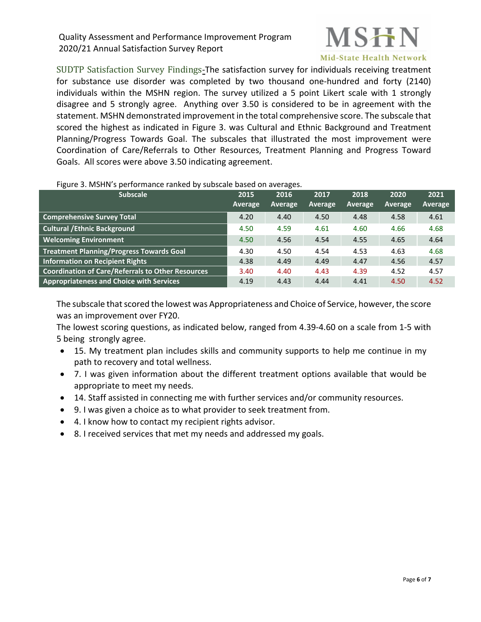

<span id="page-6-0"></span>SUDTP Satisfaction Survey Findings-The satisfaction survey for individuals receiving treatment for substance use disorder was completed by two thousand one-hundred and forty (2140) individuals within the MSHN region. The survey utilized a 5 point Likert scale with 1 strongly disagree and 5 strongly agree. Anything over 3.50 is considered to be in agreement with the statement. MSHN demonstrated improvement in the total comprehensive score. The subscale that scored the highest as indicated in Figure 3. was Cultural and Ethnic Background and Treatment Planning/Progress Towards Goal. The subscales that illustrated the most improvement were Coordination of Care/Referrals to Other Resources, Treatment Planning and Progress Toward Goals. All scores were above 3.50 indicating agreement.

| <b>Subscale</b>                                   | 2015<br><b>Average</b> | 2016<br>Average | 2017<br>Average | 2018<br>Average | 2020<br>Average | 2021<br>Average |
|---------------------------------------------------|------------------------|-----------------|-----------------|-----------------|-----------------|-----------------|
| <b>Comprehensive Survey Total</b>                 | 4.20                   | 4.40            | 4.50            | 4.48            | 4.58            | 4.61            |
| <b>Cultural / Ethnic Background</b>               | 4.50                   | 4.59            | 4.61            | 4.60            | 4.66            | 4.68            |
| <b>Welcoming Environment</b>                      | 4.50                   | 4.56            | 4.54            | 4.55            | 4.65            | 4.64            |
| <b>Treatment Planning/Progress Towards Goal</b>   | 4.30                   | 4.50            | 4.54            | 4.53            | 4.63            | 4.68            |
| Information on Recipient Rights                   | 4.38                   | 4.49            | 4.49            | 4.47            | 4.56            | 4.57            |
| Coordination of Care/Referrals to Other Resources | 3.40                   | 4.40            | 4.43            | 4.39            | 4.52            | 4.57            |
| Appropriateness and Choice with Services          | 4.19                   | 4.43            | 4.44            | 4.41            | 4.50            | 4.52            |

#### Figure 3. MSHN's performance ranked by subscale based on averages.

The subscale that scored the lowest was Appropriateness and Choice of Service, however, the score was an improvement over FY20.

The lowest scoring questions, as indicated below, ranged from 4.39-4.60 on a scale from 1-5 with 5 being strongly agree.

- 15. My treatment plan includes skills and community supports to help me continue in my path to recovery and total wellness.
- 7. I was given information about the different treatment options available that would be appropriate to meet my needs.
- 14. Staff assisted in connecting me with further services and/or community resources.
- 9. I was given a choice as to what provider to seek treatment from.
- 4. I know how to contact my recipient rights advisor.
- 8. I received services that met my needs and addressed my goals.